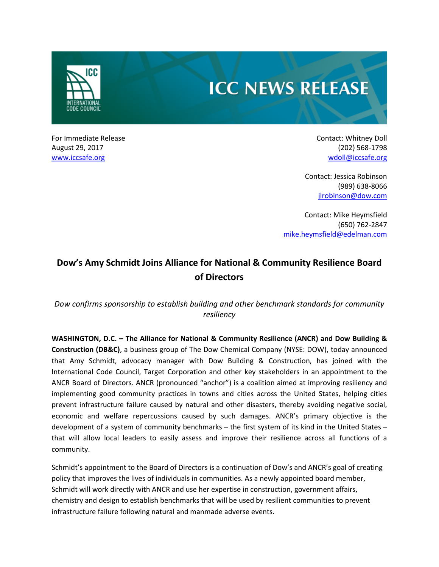

# **ICC NEWS RELEASE**

For Immediate Release **Contact: Whitney Doll Contact: Whitney Doll** August 29, 2017 (202) 568-1798 [www.iccsafe.org](http://www.iccsafe.org/) [wdoll@iccsafe.org](mailto:wdoll@iccsafe.org) wdoll@iccsafe.org

Contact: Jessica Robinson (989) 638-8066 [jlrobinson@dow.com](mailto:jlrobinson@dow.com)

Contact: Mike Heymsfield (650) 762-2847 [mike.heymsfield@edelman.com](mailto:mike.heymsfield@edelman.com)

## **Dow's Amy Schmidt Joins Alliance for National & Community Resilience Board of Directors**

## *Dow confirms sponsorship to establish building and other benchmark standards for community resiliency*

**WASHINGTON, D.C. – The Alliance for National & Community Resilience (ANCR) and Dow Building & Construction (DB&C)**, a business group of The Dow Chemical Company (NYSE: DOW), today announced that Amy Schmidt, advocacy manager with Dow Building & Construction, has joined with the International Code Council, Target Corporation and other key stakeholders in an appointment to the ANCR Board of Directors. ANCR (pronounced "anchor") is a coalition aimed at improving resiliency and implementing good community practices in towns and cities across the United States, helping cities prevent infrastructure failure caused by natural and other disasters, thereby avoiding negative social, economic and welfare repercussions caused by such damages. ANCR's primary objective is the development of a system of community benchmarks – the first system of its kind in the United States – that will allow local leaders to easily assess and improve their resilience across all functions of a community.

Schmidt's appointment to the Board of Directors is a continuation of Dow's and ANCR's goal of creating policy that improves the lives of individuals in communities. As a newly appointed board member, Schmidt will work directly with ANCR and use her expertise in construction, government affairs, chemistry and design to establish benchmarks that will be used by resilient communities to prevent infrastructure failure following natural and manmade adverse events.